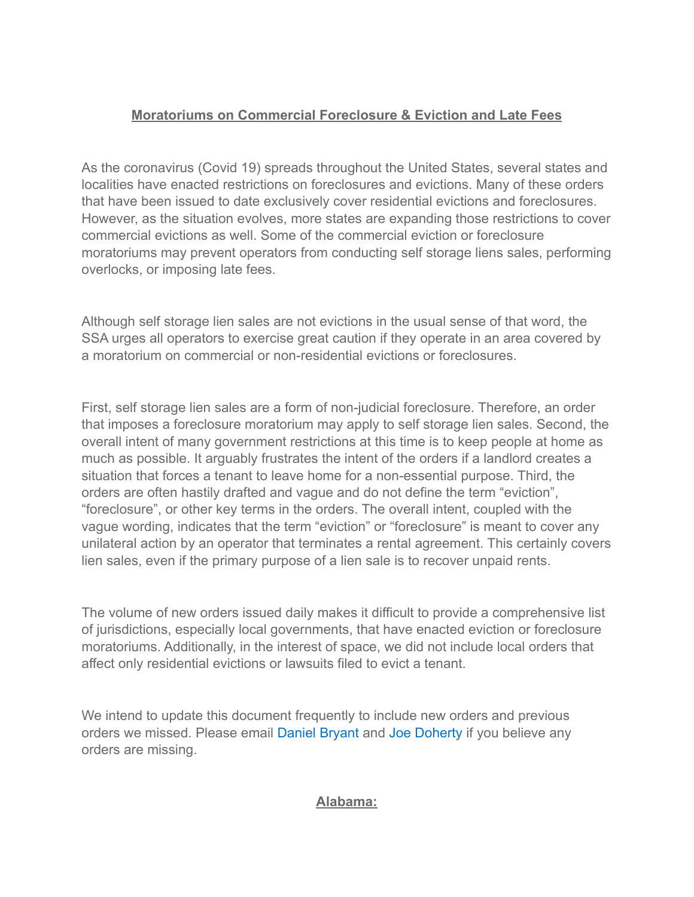### **Moratoriums on Commercial Foreclosure & Eviction and Late Fees**

As the coronavirus (Covid 19) spreads throughout the United States, several states and localities have enacted restrictions on foreclosures and evictions. Many of these orders that have been issued to date exclusively cover residential evictions and foreclosures. However, as the situation evolves, more states are expanding those restrictions to cover commercial evictions as well. Some of the commercial eviction or foreclosure moratoriums may prevent operators from conducting self storage liens sales, performing overlocks, or imposing late fees.

Although self storage lien sales are not evictions in the usual sense of that word, the SSA urges all operators to exercise great caution if they operate in an area covered by a moratorium on commercial or non-residential evictions or foreclosures.

First, self storage lien sales are a form of non-judicial foreclosure. Therefore, an order that imposes a foreclosure moratorium may apply to self storage lien sales. Second, the overall intent of many government restrictions at this time is to keep people at home as much as possible. It arguably frustrates the intent of the orders if a landlord creates a situation that forces a tenant to leave home for a non-essential purpose. Third, the orders are often hastily drafted and vague and do not define the term "eviction", "foreclosure", or other key terms in the orders. The overall intent, coupled with the vague wording, indicates that the term "eviction" or "foreclosure" is meant to cover any unilateral action by an operator that terminates a rental agreement. This certainly covers lien sales, even if the primary purpose of a lien sale is to recover unpaid rents.

The volume of new orders issued daily makes it difficult to provide a comprehensive list of jurisdictions, especially local governments, that have enacted eviction or foreclosure moratoriums. Additionally, in the interest of space, we did not include local orders that affect only residential evictions or lawsuits filed to evict a tenant.

We intend to update this document frequently to include new orders and previous orders we missed. Please email [Daniel Bryant](mailto:dbryant@selfstorage.org) and [Joe Doherty](mailto:jdoherty@selfstorage.org) if you believe any orders are missing.

#### **Alabama:**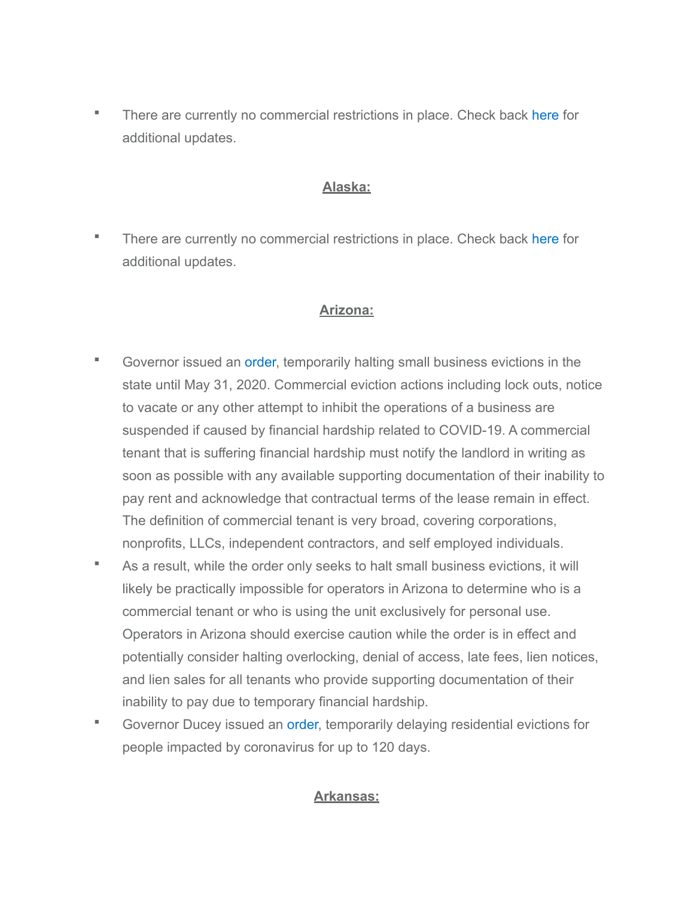■ There are currently no commercial restrictions in place. Check back [here](http://digital.archives.alabama.gov/cdm/search/collection/executive/field/creato/searchterm/Ivey,%20Kay,%20E.,%201944-/mode/exact) for additional updates.

## **Alaska:**

**There are currently no commercial restrictions in place. Check back [here](https://gov.alaska.gov/newsroom/) for** additional updates.

### **Arizona:**

- Governor issued an [order,](https://azgovernor.gov/sites/default/files/eo_2020-21_prohibiting_small_business_evictions.pdf) temporarily halting small business evictions in the state until May 31, 2020. Commercial eviction actions including lock outs, notice to vacate or any other attempt to inhibit the operations of a business are suspended if caused by financial hardship related to COVID-19. A commercial tenant that is suffering financial hardship must notify the landlord in writing as soon as possible with any available supporting documentation of their inability to pay rent and acknowledge that contractual terms of the lease remain in effect. The definition of commercial tenant is very broad, covering corporations, nonprofits, LLCs, independent contractors, and self employed individuals.
- As a result, while the order only seeks to halt small business evictions, it will likely be practically impossible for operators in Arizona to determine who is a commercial tenant or who is using the unit exclusively for personal use. Operators in Arizona should exercise caution while the order is in effect and potentially consider halting overlocking, denial of access, late fees, lien notices, and lien sales for all tenants who provide supporting documentation of their inability to pay due to temporary financial hardship.
- Governor Ducey issued an [order,](https://azgovernor.gov/sites/default/files/eo_2020-14_0.pdf) temporarily delaying residential evictions for people impacted by coronavirus for up to 120 days.

### **Arkansas:**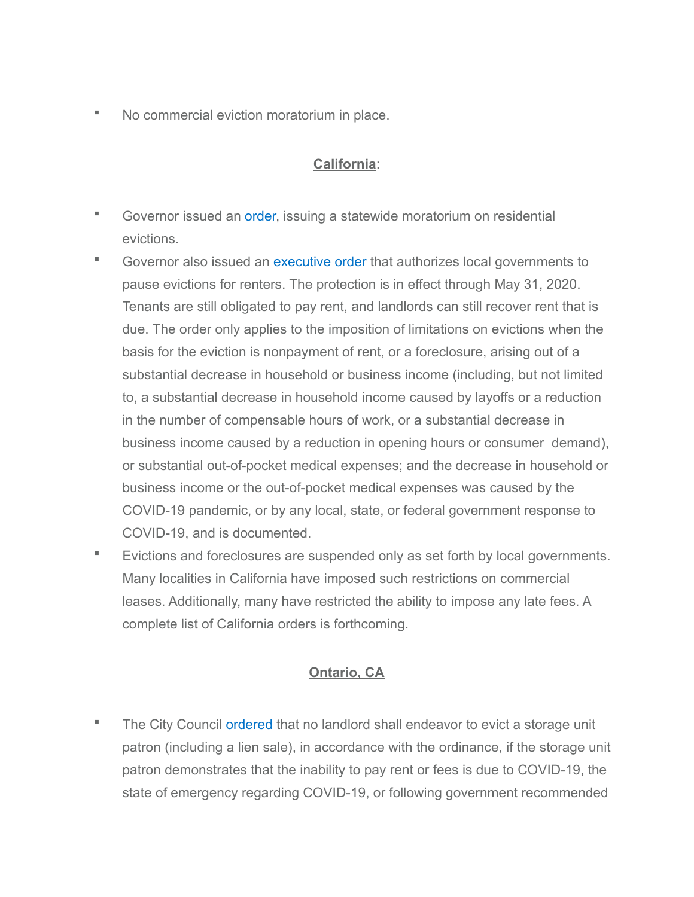▪ No commercial eviction moratorium in place.

#### **California**:

- **Governor issued an [order,](https://www.gov.ca.gov/wp-content/uploads/2020/03/3.27.20-EO-N-37-20.pdf) issuing a statewide moratorium on residential** evictions.
- **EXECOVERIGHT COVERTIGHT COVERTIGHT IS COVERTED FOR EXECUTE IS COVERTED FOR EXECUTE IS COVERTED FOR EXECUTE IS COVERT** pause evictions for renters. The protection is in effect through May 31, 2020. Tenants are still obligated to pay rent, and landlords can still recover rent that is due. The order only applies to the imposition of limitations on evictions when the basis for the eviction is nonpayment of rent, or a foreclosure, arising out of a substantial decrease in household or business income (including, but not limited to, a substantial decrease in household income caused by layoffs or a reduction in the number of compensable hours of work, or a substantial decrease in business income caused by a reduction in opening hours or consumer demand), or substantial out-of-pocket medical expenses; and the decrease in household or business income or the out-of-pocket medical expenses was caused by the COVID-19 pandemic, or by any local, state, or federal government response to COVID-19, and is documented.
- Evictions and foreclosures are suspended only as set forth by local governments. Many localities in California have imposed such restrictions on commercial leases. Additionally, many have restricted the ability to impose any late fees. A complete list of California orders is forthcoming.

### **Ontario, CA**

The City Council [ordered](https://www.ontarioca.gov/sites/default/files/Ontario-Files/City-Clerk-Records-Management/O3159%20Urgency%20Ordinance%20Adopting%20Temporary%20Regulations%20Prohibiting%20the%20Eviction%20of%20Tenants%20During%20the%20COVID-19%20Pandemic.pdf) that no landlord shall endeavor to evict a storage unit patron (including a lien sale), in accordance with the ordinance, if the storage unit patron demonstrates that the inability to pay rent or fees is due to COVID-19, the state of emergency regarding COVID-19, or following government recommended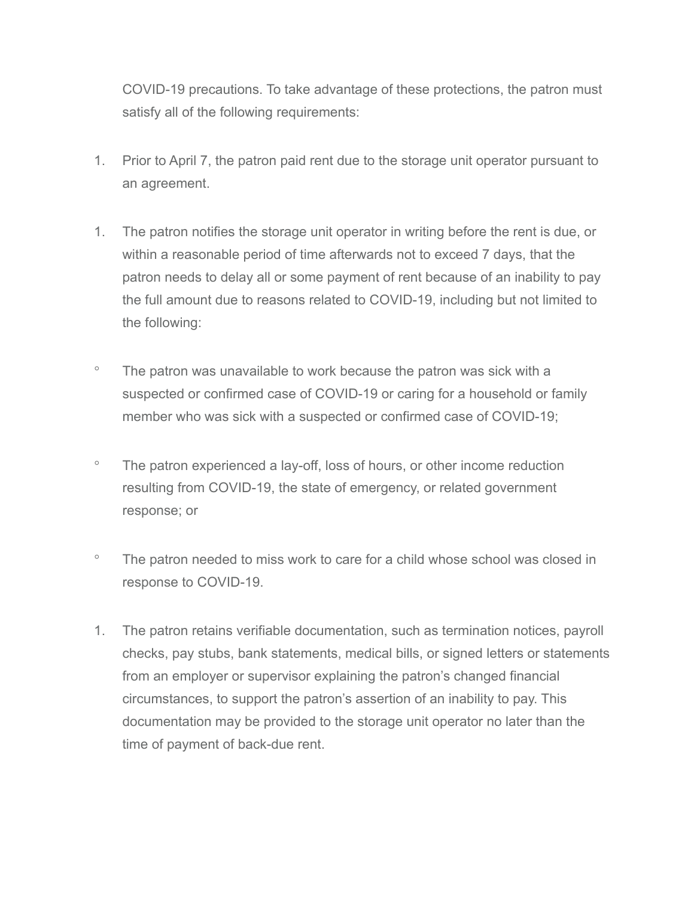COVID-19 precautions. To take advantage of these protections, the patron must satisfy all of the following requirements:

- 1. Prior to April 7, the patron paid rent due to the storage unit operator pursuant to an agreement.
- 1. The patron notifies the storage unit operator in writing before the rent is due, or within a reasonable period of time afterwards not to exceed 7 days, that the patron needs to delay all or some payment of rent because of an inability to pay the full amount due to reasons related to COVID-19, including but not limited to the following:
- The patron was unavailable to work because the patron was sick with a suspected or confirmed case of COVID-19 or caring for a household or family member who was sick with a suspected or confirmed case of COVID-19;
- The patron experienced a lay-off, loss of hours, or other income reduction resulting from COVID-19, the state of emergency, or related government response; or
- The patron needed to miss work to care for a child whose school was closed in response to COVID-19.
- 1. The patron retains verifiable documentation, such as termination notices, payroll checks, pay stubs, bank statements, medical bills, or signed letters or statements from an employer or supervisor explaining the patron's changed financial circumstances, to support the patron's assertion of an inability to pay. This documentation may be provided to the storage unit operator no later than the time of payment of back-due rent.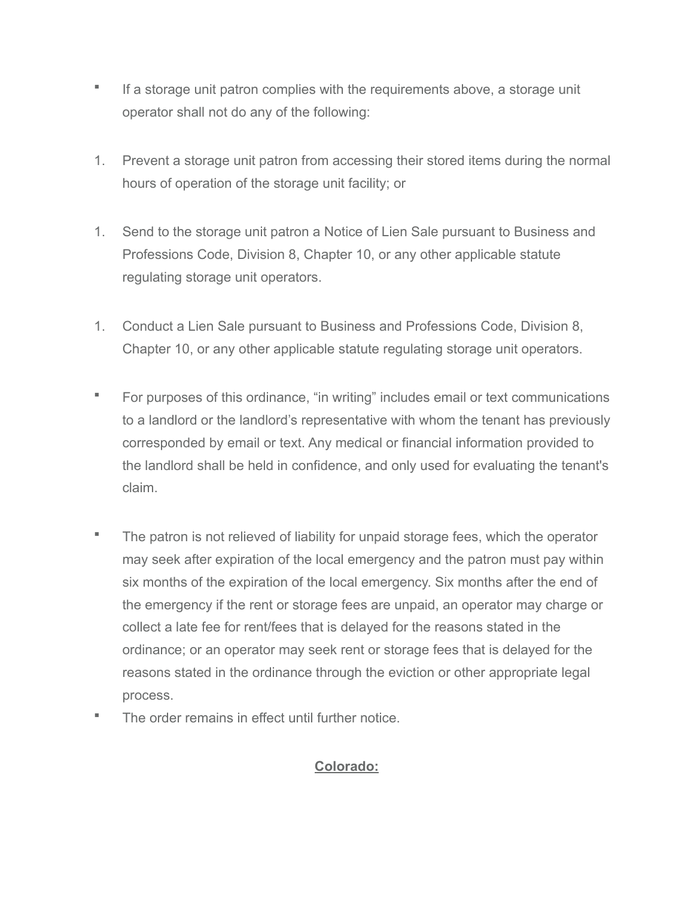- If a storage unit patron complies with the requirements above, a storage unit operator shall not do any of the following:
- 1. Prevent a storage unit patron from accessing their stored items during the normal hours of operation of the storage unit facility; or
- 1. Send to the storage unit patron a Notice of Lien Sale pursuant to Business and Professions Code, Division 8, Chapter 10, or any other applicable statute regulating storage unit operators.
- 1. Conduct a Lien Sale pursuant to Business and Professions Code, Division 8, Chapter 10, or any other applicable statute regulating storage unit operators.
- For purposes of this ordinance, "in writing" includes email or text communications to a landlord or the landlord's representative with whom the tenant has previously corresponded by email or text. Any medical or financial information provided to the landlord shall be held in confidence, and only used for evaluating the tenant's claim.
- The patron is not relieved of liability for unpaid storage fees, which the operator may seek after expiration of the local emergency and the patron must pay within six months of the expiration of the local emergency. Six months after the end of the emergency if the rent or storage fees are unpaid, an operator may charge or collect a late fee for rent/fees that is delayed for the reasons stated in the ordinance; or an operator may seek rent or storage fees that is delayed for the reasons stated in the ordinance through the eviction or other appropriate legal process.
- The order remains in effect until further notice.

### **Colorado:**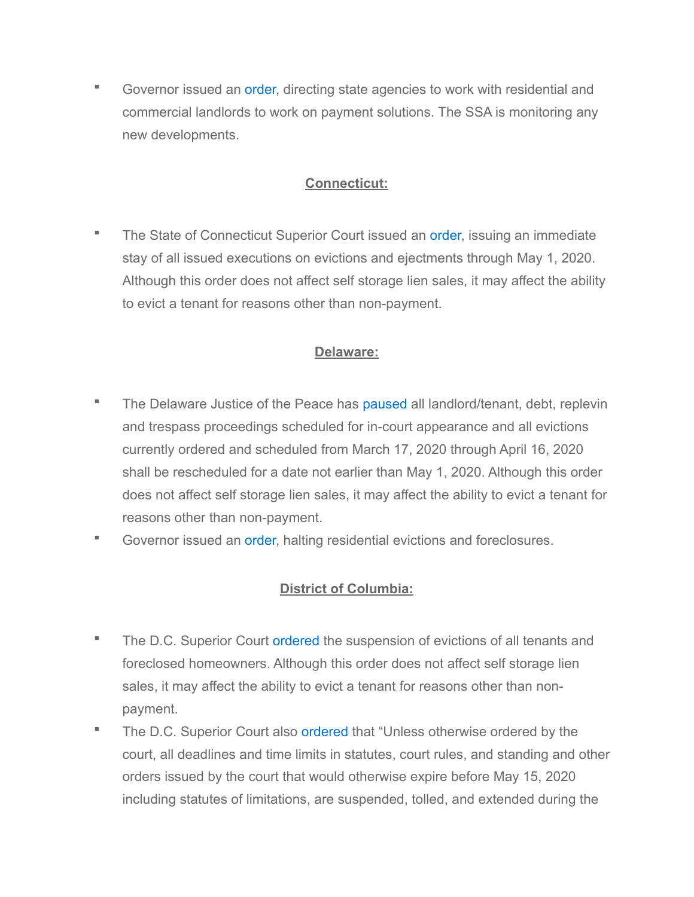■ Governor issued an [order,](https://drive.google.com/file/d/1mMCRLb6PxMPI680_THFn4nqLGAty1jq9/view) directing state agencies to work with residential and commercial landlords to work on payment solutions. The SSA is monitoring any new developments.

### **Connecticut:**

The State of Connecticut Superior Court issued an [order,](https://www.jud.ct.gov/Execution_stay.pdf) issuing an immediate stay of all issued executions on evictions and ejectments through May 1, 2020. Although this order does not affect self storage lien sales, it may affect the ability to evict a tenant for reasons other than non-payment.

### **Delaware:**

- The Delaware Justice of the Peace has [paused](https://courts.delaware.gov/forms/download.aspx?id=120318) all landlord/tenant, debt, replevin and trespass proceedings scheduled for in-court appearance and all evictions currently ordered and scheduled from March 17, 2020 through April 16, 2020 shall be rescheduled for a date not earlier than May 1, 2020. Although this order does not affect self storage lien sales, it may affect the ability to evict a tenant for reasons other than non-payment.
- Governor issued an [order,](https://governor.delaware.gov/wp-content/uploads/sites/24/2020/03/Sixth-Modification-to-State-of-Emergency-03242020.pdf) halting residential evictions and foreclosures.

### **District of Columbia:**

- **The D.C. Superior Court [ordered](https://www.dccourts.gov/coronavirus) the suspension of evictions of all tenants and** foreclosed homeowners. Although this order does not affect self storage lien sales, it may affect the ability to evict a tenant for reasons other than nonpayment.
- The D.C. Superior Court also [ordered](https://www.dccourts.gov/sites/default/files/Order-Attachment-PDFs/Order-3-19-20.pdf) that "Unless otherwise ordered by the court, all deadlines and time limits in statutes, court rules, and standing and other orders issued by the court that would otherwise expire before May 15, 2020 including statutes of limitations, are suspended, tolled, and extended during the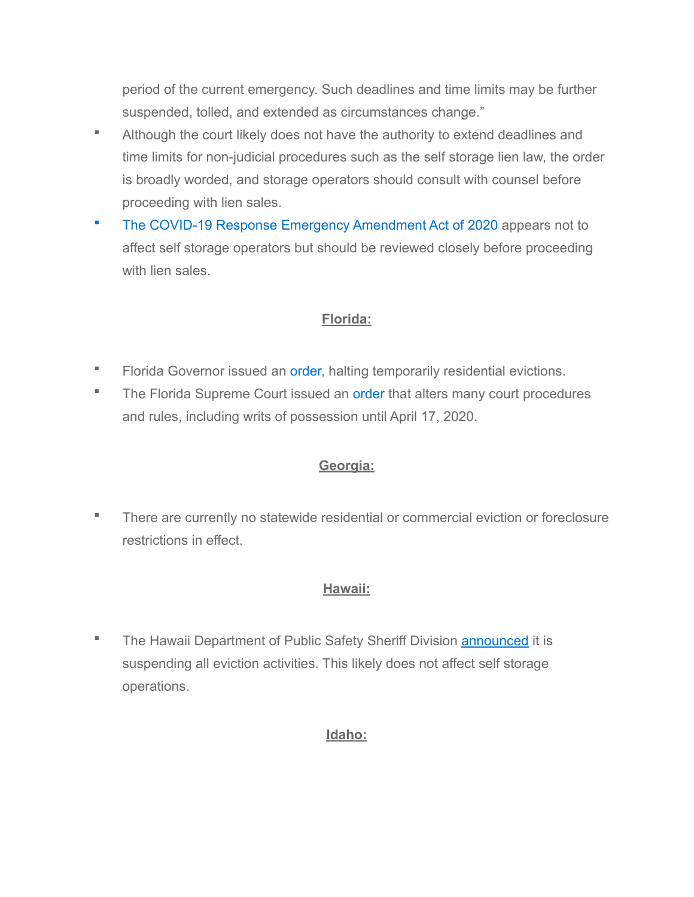period of the current emergency. Such deadlines and time limits may be further suspended, tolled, and extended as circumstances change."

- Although the court likely does not have the authority to extend deadlines and time limits for non-judicial procedures such as the self storage lien law, the order is broadly worded, and storage operators should consult with counsel before proceeding with lien sales.
- **[The COVID-19 Response Emergency Amendment Act of 2020](http://chairmanmendelson.com/2020/04/06/final-covid-draft-temporary-act/) appears not to** affect self storage operators but should be reviewed closely before proceeding with lien sales.

### **Florida:**

- **EXECTE:** Florida Governor issued an [order,](https://www.flgov.com/wp-content/uploads/orders/2020/EO_20-94.pdf) halting temporarily residential evictions.
- The Florida Supreme Court issued an [order](https://www.floridasupremecourt.org/content/download/632431/7186205/AOSC20-17.pdf) that alters many court procedures and rules, including writs of possession until April 17, 2020.

# **Georgia:**

▪ There are currently no statewide residential or commercial eviction or foreclosure restrictions in effect.

# **Hawaii:**

**The Hawaii Department of Public Safety Sheriff Division [announced](https://governor.hawaii.gov/newsroom/latest-news/psd-news-release-sheriff-division-temporarily-suspends-eviction-activities/) it is** suspending all eviction activities. This likely does not affect self storage operations.

### **Idaho:**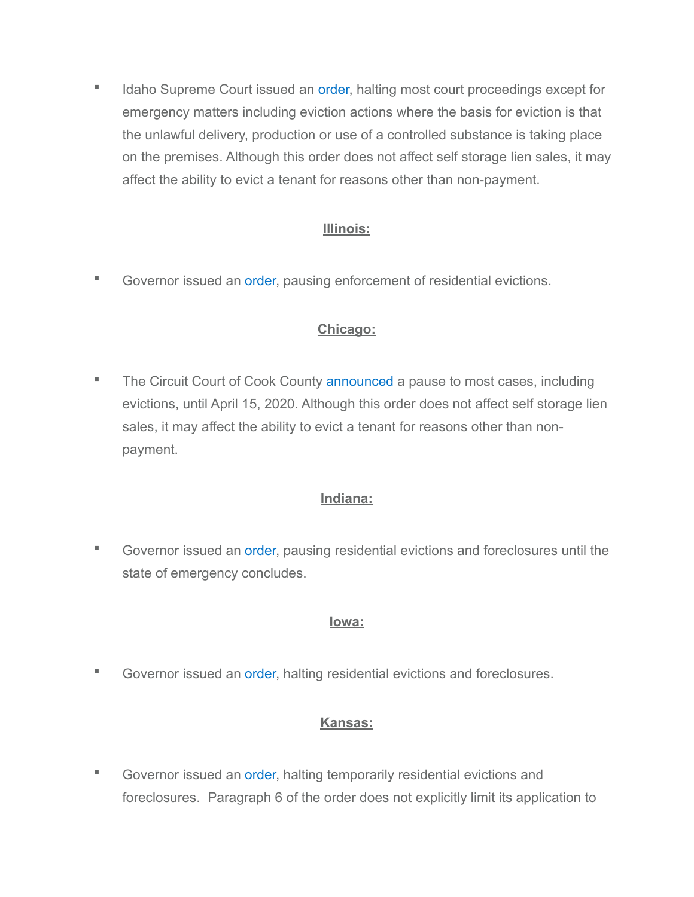**■** Idaho Supreme Court issued an [order](https://isc.idaho.gov/EO/Emergency-Reduction-Order.pdf), halting most court proceedings except for emergency matters including eviction actions where the basis for eviction is that the unlawful delivery, production or use of a controlled substance is taking place on the premises. Although this order does not affect self storage lien sales, it may affect the ability to evict a tenant for reasons other than non-payment.

## **Illinois:**

■ Governor issued an [order,](https://www2.illinois.gov/IISNews/21288-Gov._Pritzker_Stay_at_Home_Order.pdf) pausing enforcement of residential evictions.

## **Chicago:**

**The Circuit Court of Cook County [announced](http://www.cookcountycourt.org/home/informationregardingcoronavirus.aspx) a pause to most cases, including** evictions, until April 15, 2020. Although this order does not affect self storage lien sales, it may affect the ability to evict a tenant for reasons other than nonpayment.

### **Indiana:**

■ Governor issued an [order,](https://www.in.gov/gov/files/EO_20-06.pdf) pausing residential evictions and foreclosures until the state of emergency concludes.

### **Iowa:**

▪ Governor issued an [order,](https://governor.iowa.gov/sites/default/files/documents/Public%20Health%20Proclamation%20-%202020.03.19.pdf) halting residential evictions and foreclosures.

# **Kansas:**

■ Governor issued an [order,](https://governor.kansas.gov/wp-content/uploads/2020/03/EO-20-10-Executed.pdf) halting temporarily residential evictions and foreclosures. Paragraph 6 of the order does not explicitly limit its application to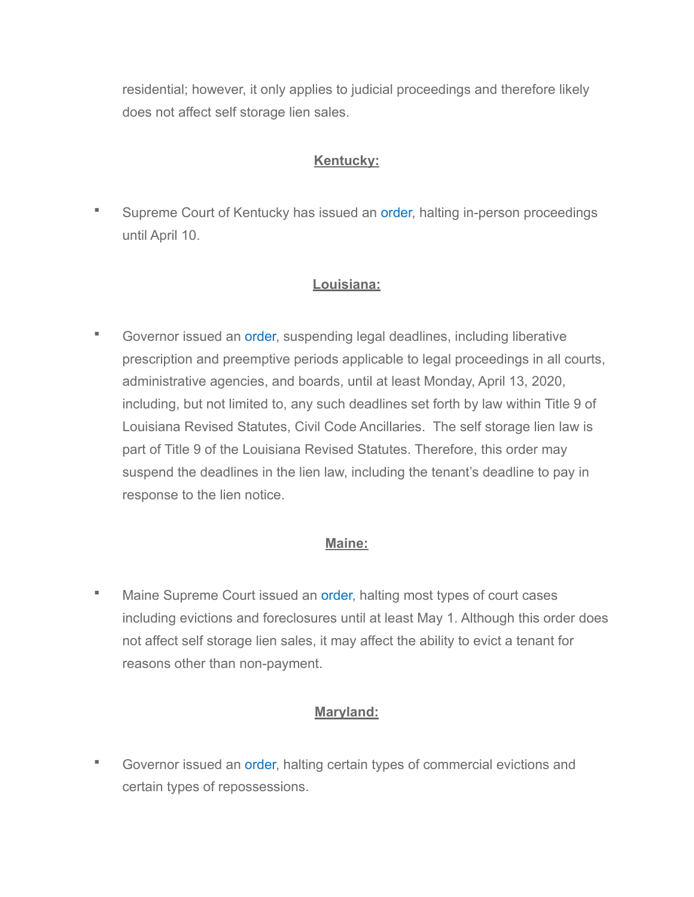residential; however, it only applies to judicial proceedings and therefore likely does not affect self storage lien sales.

## **Kentucky:**

■ Supreme Court of Kentucky has issued an [order,](https://www.nkybar.com/resources/KENTUCKY%20COURT%20OF%20JUSTICE%20RESPONSE%20TO%20COVID-19%20EMERGENCY.pdf) halting in-person proceedings until April 10.

## **Louisiana:**

**• Governor issued an [order,](https://gov.louisiana.gov/assets/Proclamations/2020/Proc-No-30-updTED.pdf) suspending legal deadlines, including liberative** prescription and preemptive periods applicable to legal proceedings in all courts, administrative agencies, and boards, until at least Monday, April 13, 2020, including, but not limited to, any such deadlines set forth by law within Title 9 of Louisiana Revised Statutes, Civil Code Ancillaries. The self storage lien law is part of Title 9 of the Louisiana Revised Statutes. Therefore, this order may suspend the deadlines in the lien law, including the tenant's deadline to pay in response to the lien notice.

### **Maine:**

**■** Maine Supreme Court issued an [order,](https://www.courts.maine.gov/covid19/emergency-order-notice-revised.pdf) halting most types of court cases including evictions and foreclosures until at least May 1. Although this order does not affect self storage lien sales, it may affect the ability to evict a tenant for reasons other than non-payment.

# **Maryland:**

▪ Governor issued an [order,](https://governor.maryland.gov/wp-content/uploads/2020/04/Evictions-Repossessions-Foreclosure-AMENDED-4.3.20.pdf) halting certain types of commercial evictions and certain types of repossessions.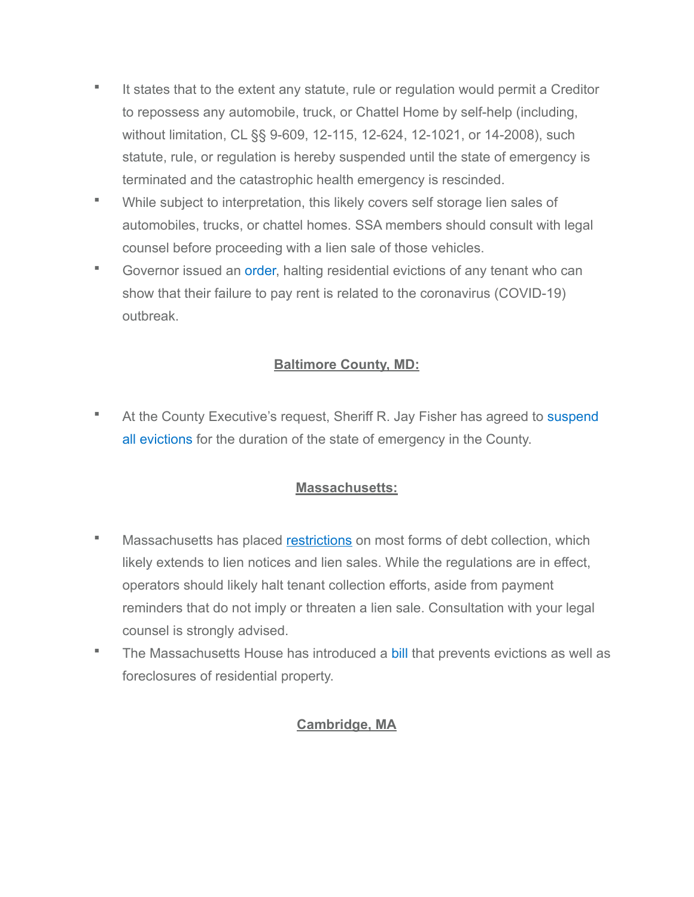- It states that to the extent any statute, rule or regulation would permit a Creditor to repossess any automobile, truck, or Chattel Home by self-help (including, without limitation, CL §§ 9-609, 12-115, 12-624, 12-1021, or 14-2008), such statute, rule, or regulation is hereby suspended until the state of emergency is terminated and the catastrophic health emergency is rescinded.
- While subject to interpretation, this likely covers self storage lien sales of automobiles, trucks, or chattel homes. SSA members should consult with legal counsel before proceeding with a lien sale of those vehicles.
- Governor issued an [order,](https://governor.maryland.gov/wp-content/uploads/2020/03/Executive-Order-Temp-Evictions-Prohibiting.pdf) halting residential evictions of any tenant who can show that their failure to pay rent is related to the coronavirus (COVID-19) outbreak.

## **Baltimore County, MD:**

**EXTER At the County Executive's request, Sheriff R. Jay Fisher has agreed to suspend** [all evictions](https://www.baltimorecountymd.gov/News/coronavirus.html) for the duration of the state of emergency in the County.

### **Massachusetts:**

- **■** Massachusetts has placed [restrictions](https://www.mass.gov/news/ags-office-issues-emergency-regulation-to-protect-consumers-from-harmful-debt-collection) on most forms of debt collection, which likely extends to lien notices and lien sales. While the regulations are in effect, operators should likely halt tenant collection efforts, aside from payment reminders that do not imply or threaten a lien sale. Consultation with your legal counsel is strongly advised.
- **The Massachusetts House has introduced a [bill](https://malegislature.gov/Bills/191/HD4935) that prevents evictions as well as** foreclosures of residential property.

#### **Cambridge, MA**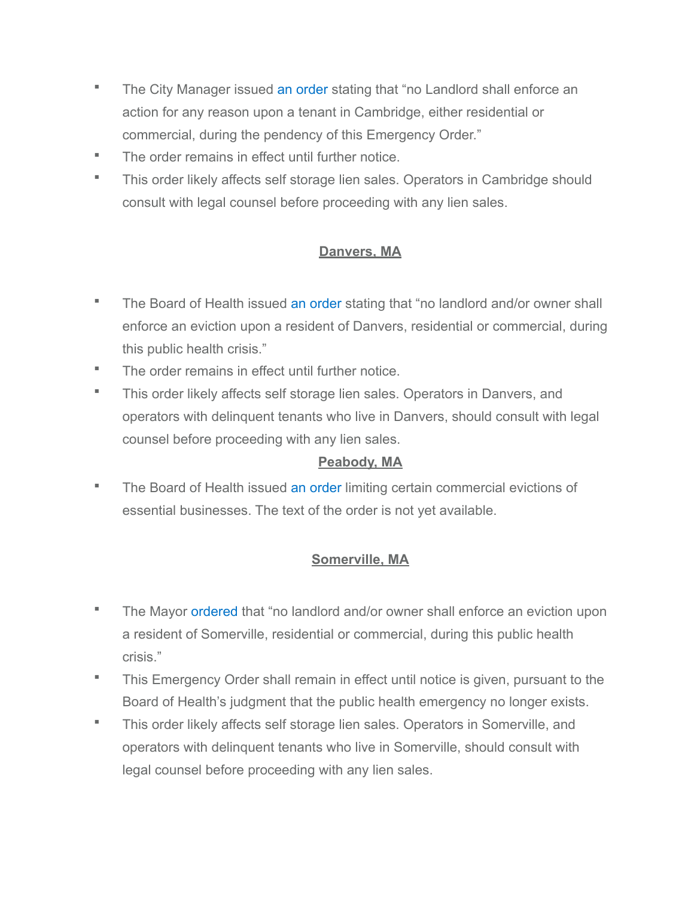- **The City Manager issued [an order](https://www.cambridgema.gov/-/media/Files/citymanagersoffice/COVID19/coccovid19tempemergordevictions4320.pdf) stating that "no Landlord shall enforce an** action for any reason upon a tenant in Cambridge, either residential or commercial, during the pendency of this Emergency Order."
- The order remains in effect until further notice.
- This order likely affects self storage lien sales. Operators in Cambridge should consult with legal counsel before proceeding with any lien sales.

## **Danvers, MA**

- **The Board of Health issued [an order](https://docs.google.com/viewerng/viewer?url=https://storage.googleapis.com/proudcity/danversma/uploads/2020/04/Signed-ORDER-MORATORIUM-ON-EVICTIONS-AND-OPEN-HOUSES-04-06-20.pdf) stating that "no landlord and/or owner shall** enforce an eviction upon a resident of Danvers, residential or commercial, during this public health crisis."
- The order remains in effect until further notice.
- This order likely affects self storage lien sales. Operators in Danvers, and operators with delinquent tenants who live in Danvers, should consult with legal counsel before proceeding with any lien sales.

### **Peabody, MA**

**The Board of Health issued [an order](https://www.salemnews.com/news/local_news/peabody-board-votes-for-temporary-stay-on-evictions/article_284dd2da-3e14-5411-b2ef-4512d6b8cb75.html) limiting certain commercial evictions of** essential businesses. The text of the order is not yet available.

# **Somerville, MA**

- The Mayor [ordered](https://www.somervillema.gov/evictionmoratorium) that "no landlord and/or owner shall enforce an eviction upon a resident of Somerville, residential or commercial, during this public health crisis."
- **This Emergency Order shall remain in effect until notice is given, pursuant to the** Board of Health's judgment that the public health emergency no longer exists.
- This order likely affects self storage lien sales. Operators in Somerville, and operators with delinquent tenants who live in Somerville, should consult with legal counsel before proceeding with any lien sales.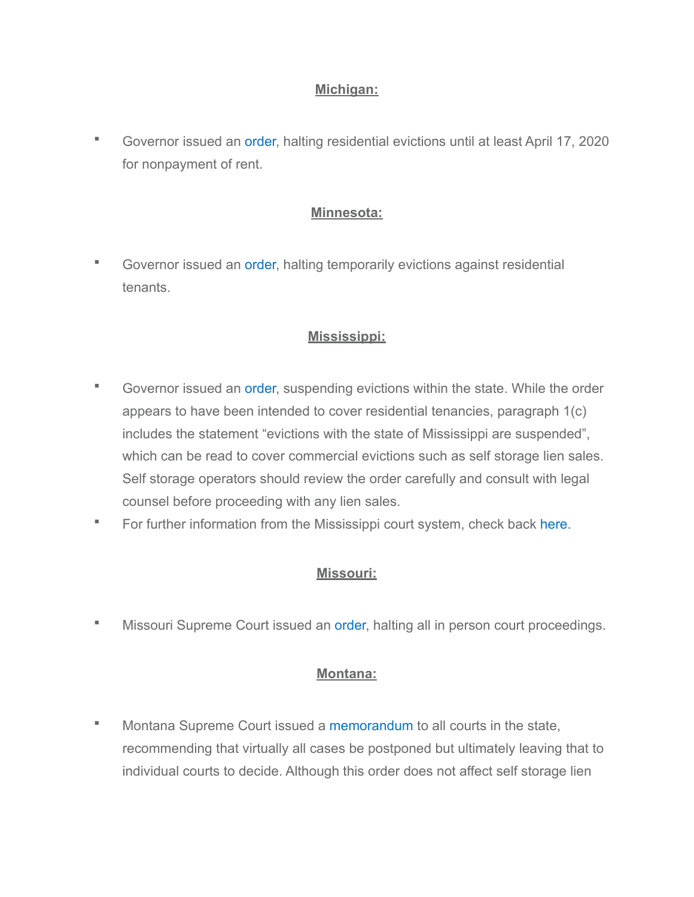#### **Michigan:**

▪ Governor issued an [order,](https://www.michigan.gov/whitmer/0,9309,7-387-90499_90705-522509--,00.html) halting residential evictions until at least April 17, 2020 for nonpayment of rent.

#### **Minnesota:**

■ Governor issued an [order,](https://mn.gov/governor/assets/EO%2020-14%20Filed_tcm1055-424508.pdf) halting temporarily evictions against residential tenants.

## **Mississippi:**

- Governor issued an [order,](https://www.sos.ms.gov/content/executiveorders/ExecutiveOrders/1466.pdf) suspending evictions within the state. While the order appears to have been intended to cover residential tenancies, paragraph 1(c) includes the statement "evictions with the state of Mississippi are suspended", which can be read to cover commercial evictions such as self storage lien sales. Self storage operators should review the order carefully and consult with legal counsel before proceeding with any lien sales.
- **For further information from the Mississippi court system, check back [here.](https://courts.ms.gov/news/news.php)**

#### **Missouri:**

Missouri Supreme Court issued an [order,](https://www.courts.mo.gov/page.jsp?id=153093) halting all in person court proceedings.

#### **Montana:**

Montana Supreme Court issued a [memorandum](https://courts.mt.gov/Portals/189/docs/COVID-19%203-17.pdf) to all courts in the state, recommending that virtually all cases be postponed but ultimately leaving that to individual courts to decide. Although this order does not affect self storage lien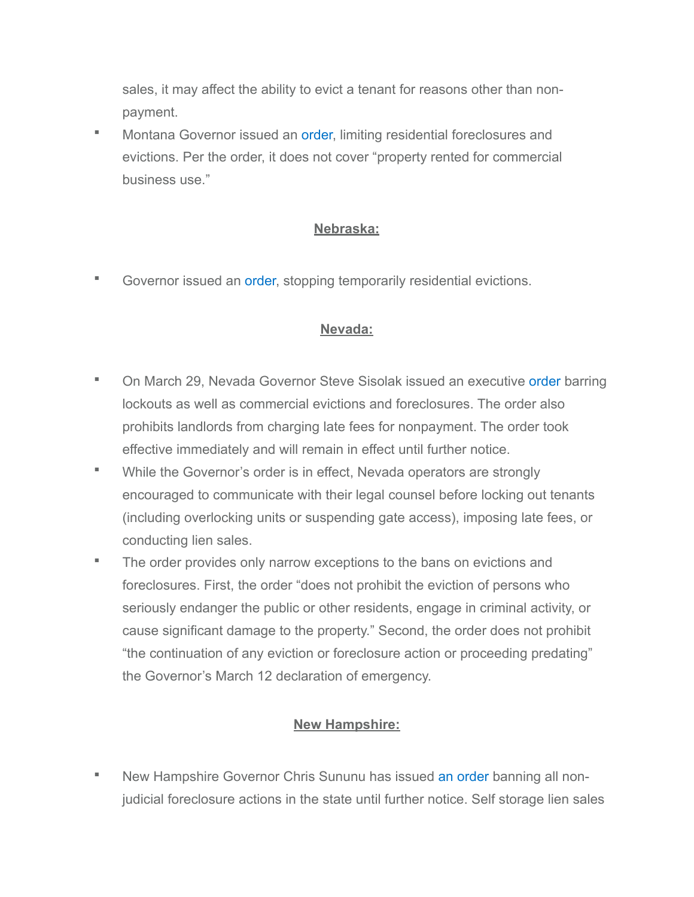sales, it may affect the ability to evict a tenant for reasons other than nonpayment.

Montana Governor issued an [order,](https://covid19.mt.gov/Portals/223/Documents/Evictions%20Foreclosures%20and%20Utilities.pdf?ver=2020-03-31-173032-787) limiting residential foreclosures and evictions. Per the order, it does not cover "property rented for commercial business use."

## **Nebraska:**

■ Governor issued an [order,](https://www.dropbox.com/s/kci7kheh31ffhfi/EO%2020-07%20-%20Temporary%20Residential%20Eviction%20Relief%20.pdf?dl=0) stopping temporarily residential evictions.

### **Nevada:**

- On March 29, Nevada Governor Steve Sisolak issued an executive [order](https://nvhealthresponse.nv.gov/wp-content/uploads/2020/03/Directive-008-Guidance-Release-Directive-Final.pdf) barring lockouts as well as commercial evictions and foreclosures. The order also prohibits landlords from charging late fees for nonpayment. The order took effective immediately and will remain in effect until further notice.
- While the Governor's order is in effect, Nevada operators are strongly encouraged to communicate with their legal counsel before locking out tenants (including overlocking units or suspending gate access), imposing late fees, or conducting lien sales.
- The order provides only narrow exceptions to the bans on evictions and foreclosures. First, the order "does not prohibit the eviction of persons who seriously endanger the public or other residents, engage in criminal activity, or cause significant damage to the property." Second, the order does not prohibit "the continuation of any eviction or foreclosure action or proceeding predating" the Governor's March 12 declaration of emergency.

### **New Hampshire:**

New Hampshire Governor Chris Sununu has issued [an order](https://www.governor.nh.gov/news-media/press-2020/documents/emergency-order-4.pdf) banning all nonjudicial foreclosure actions in the state until further notice. Self storage lien sales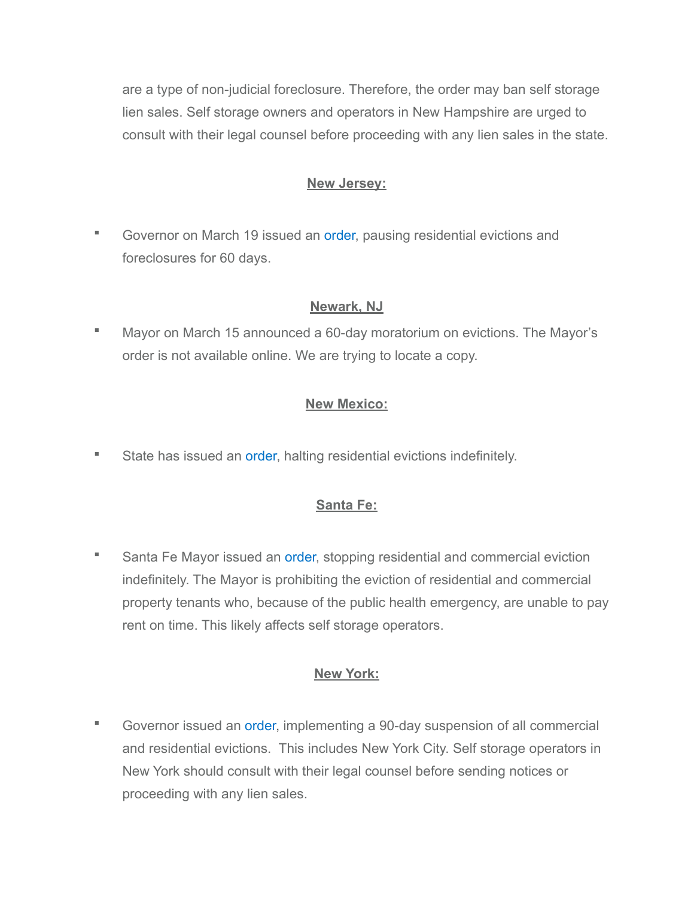are a type of non-judicial foreclosure. Therefore, the order may ban self storage lien sales. Self storage owners and operators in New Hampshire are urged to consult with their legal counsel before proceeding with any lien sales in the state.

#### **New Jersey:**

Governor on March 19 issued an [order,](https://nj.gov/infobank/eo/056murphy/pdf/EO-106.pdf) pausing residential evictions and foreclosures for 60 days.

#### **Newark, NJ**

■ Mayor on March 15 announced a 60-day moratorium on evictions. The Mayor's order is not available online. We are trying to locate a copy.

#### **New Mexico:**

State has issued an [order](https://nmcourts.gov/covid-19.aspx), halting residential evictions indefinitely.

#### **Santa Fe:**

Santa Fe Mayor issued an [order,](https://legistarweb-production.s3.amazonaws.com/uploads/attachment/pdf/555911/State_of_Emergency_Extension__Signed_.pdf) stopping residential and commercial eviction indefinitely. The Mayor is prohibiting the eviction of residential and commercial property tenants who, because of the public health emergency, are unable to pay rent on time. This likely affects self storage operators.

#### **New York:**

Governor issued an [order,](https://www.governor.ny.gov/news/governor-cuomo-signs-new-york-state-pause-executive-order) implementing a 90-day suspension of all commercial and residential evictions. This includes New York City. Self storage operators in New York should consult with their legal counsel before sending notices or proceeding with any lien sales.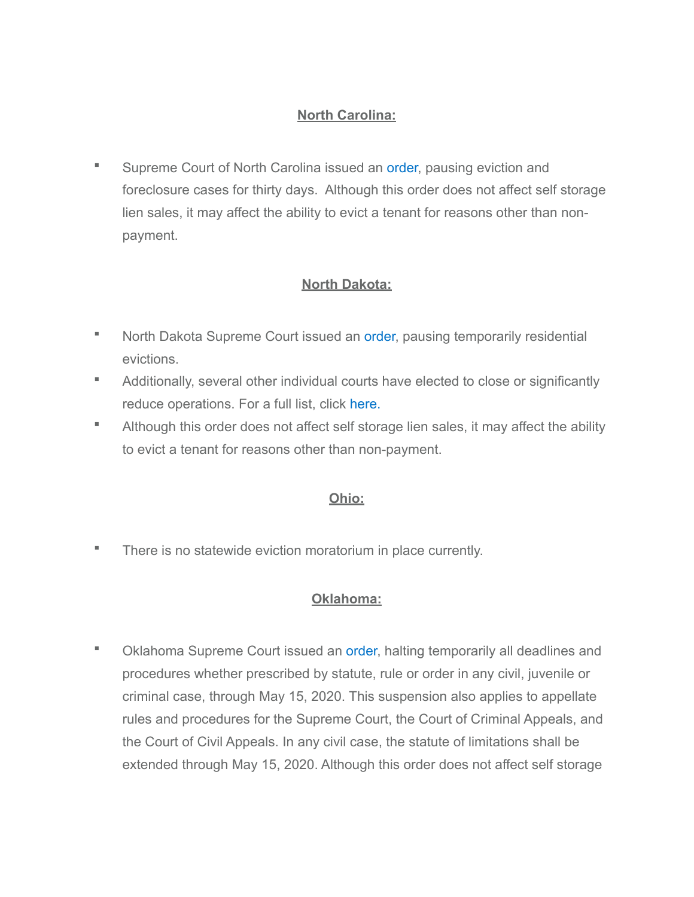### **North Carolina:**

**EXEDEE COUTA** Supreme Court of North Carolina issued an [order,](https://www.nccourts.gov/assets/inline-files/Coronavirus-Update-for-our-Courts-Memo-to-Judicial-Officials-3-15-20.pdf?Tuzuse0oAnyFyzogb4eejpcawxCrf4kl) pausing eviction and foreclosure cases for thirty days. Although this order does not affect self storage lien sales, it may affect the ability to evict a tenant for reasons other than nonpayment.

### **North Dakota:**

- North Dakota Supreme Court issued an [order,](https://www.ndcourts.gov/supreme-court/dockets/20200107/3) pausing temporarily residential evictions.
- Additionally, several other individual courts have elected to close or significantly reduce operations. For a full list, click [here.](https://www.ndcourts.gov/news/north-dakota/counties/counties-respond-to-coronavirus-emergency)
- **EXTE:** Although this order does not affect self storage lien sales, it may affect the ability to evict a tenant for reasons other than non-payment.

#### **Ohio:**

▪ There is no statewide eviction moratorium in place currently.

#### **Oklahoma:**

Oklahoma Supreme Court issued an [order,](https://www.oscn.net/news/2003271403/scad-no-202029) halting temporarily all deadlines and procedures whether prescribed by statute, rule or order in any civil, juvenile or criminal case, through May 15, 2020. This suspension also applies to appellate rules and procedures for the Supreme Court, the Court of Criminal Appeals, and the Court of Civil Appeals. In any civil case, the statute of limitations shall be extended through May 15, 2020. Although this order does not affect self storage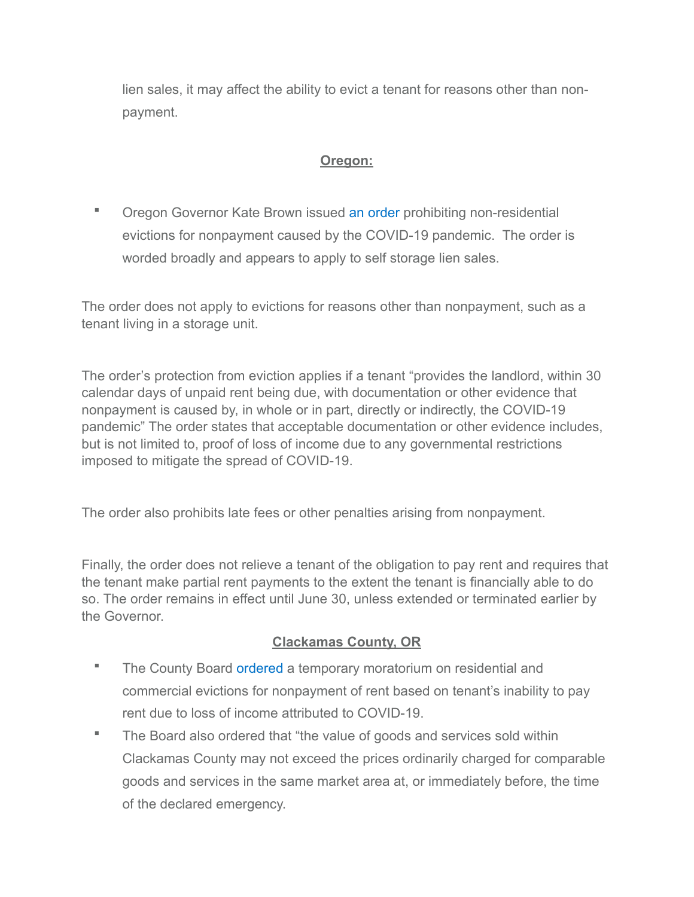lien sales, it may affect the ability to evict a tenant for reasons other than nonpayment.

### **Oregon:**

**• Oregon Governor Kate Brown issued [an order](http://r20.rs6.net/tn.jsp?f=001Zxk3AeI_0wOuxEUSwPiQ91r233Z5fgiYsRnwl1hQLW1A3vyiRx7x6Em9RJUbMTVJw9xgio2htd5jmiwXFU56DcXneO-IsStcGoMWjxNwFFBm53iVEcp0VvRoTOjWMGfRzhbDWNdDvmxZRcOI2tniqZYSvs_J_7647ZQCbhF6lidutbjvLphBza6vI5yNV7SJpHe_OIjVVK3cY2G1XYDkcA==&c=wC3kmQYOd4hbacV0-SuIwQ_uzdzU8Y0Qpak6RvljNWycCd6kVFCWwg==&ch=A5E4lI1OTiCMie1nnNwhlnW0gHrfJjLGjDPPji-F2Ot6qXWpD3BFTA==) prohibiting non-residential** evictions for nonpayment caused by the COVID-19 pandemic. The order is worded broadly and appears to apply to self storage lien sales.

The order does not apply to evictions for reasons other than nonpayment, such as a tenant living in a storage unit.

The order's protection from eviction applies if a tenant "provides the landlord, within 30 calendar days of unpaid rent being due, with documentation or other evidence that nonpayment is caused by, in whole or in part, directly or indirectly, the COVID-19 pandemic" The order states that acceptable documentation or other evidence includes, but is not limited to, proof of loss of income due to any governmental restrictions imposed to mitigate the spread of COVID-19.

The order also prohibits late fees or other penalties arising from nonpayment.

Finally, the order does not relieve a tenant of the obligation to pay rent and requires that the tenant make partial rent payments to the extent the tenant is financially able to do so. The order remains in effect until June 30, unless extended or terminated earlier by the Governor.

### **Clackamas County, OR**

- **EXEDENT** The County Board [ordered](https://dochub.clackamas.us/documents/drupal/530a6c90-8794-439e-9f1c-ec6f6bca887f) a temporary moratorium on residential and commercial evictions for nonpayment of rent based on tenant's inability to pay rent due to loss of income attributed to COVID-19.
- The Board also ordered that "the value of goods and services sold within Clackamas County may not exceed the prices ordinarily charged for comparable goods and services in the same market area at, or immediately before, the time of the declared emergency.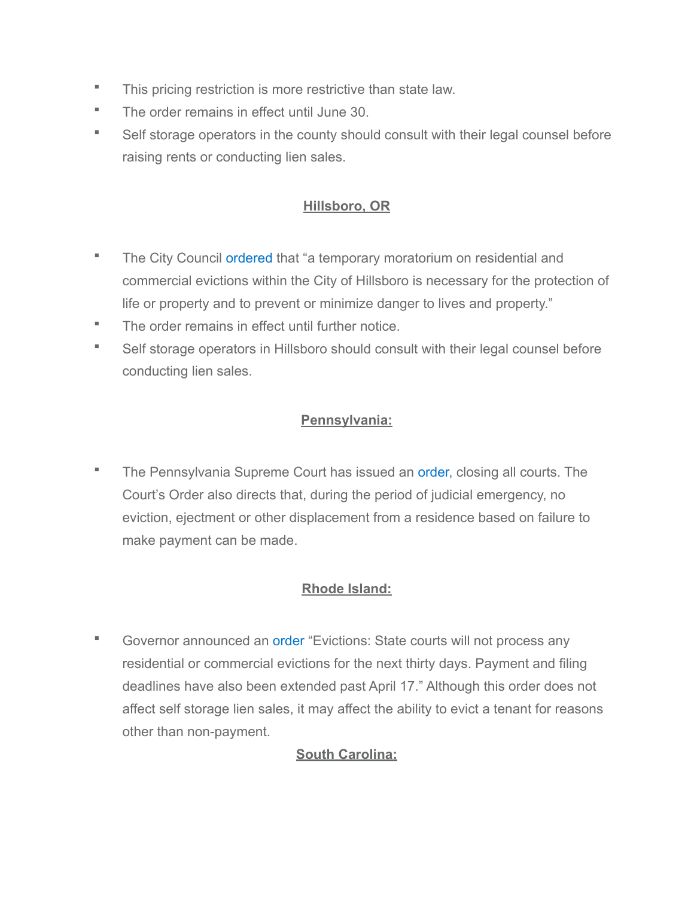- This pricing restriction is more restrictive than state law.
- The order remains in effect until June 30.
- Self storage operators in the county should consult with their legal counsel before raising rents or conducting lien sales.

### **Hillsboro, OR**

- **The City Council [ordered](https://hillsboro-oregon.civicweb.net/document/17506/Resolution%20No.%202659.pdf?handle=8018E1D199394556AA313635913431FB) that "a temporary moratorium on residential and** commercial evictions within the City of Hillsboro is necessary for the protection of life or property and to prevent or minimize danger to lives and property."
- The order remains in effect until further notice.
- Self storage operators in Hillsboro should consult with their legal counsel before conducting lien sales.

# **Pennsylvania:**

**The Pennsylvania Supreme Court has issued an [order](http://www.pacourts.us/news-and-statistics/news/?Article=1018), closing all courts. The** Court's Order also directs that, during the period of judicial emergency, no eviction, ejectment or other displacement from a residence based on failure to make payment can be made.

# **Rhode Island:**

**EXECOVERIGHT COVERTION COVERTS IN A COVERTION COVERTS** any Governor announced an [order](https://www.ri.gov/press/view/37970) "Evictions: State courts will not process any residential or commercial evictions for the next thirty days. Payment and filing deadlines have also been extended past April 17." Although this order does not affect self storage lien sales, it may affect the ability to evict a tenant for reasons other than non-payment.

# **South Carolina:**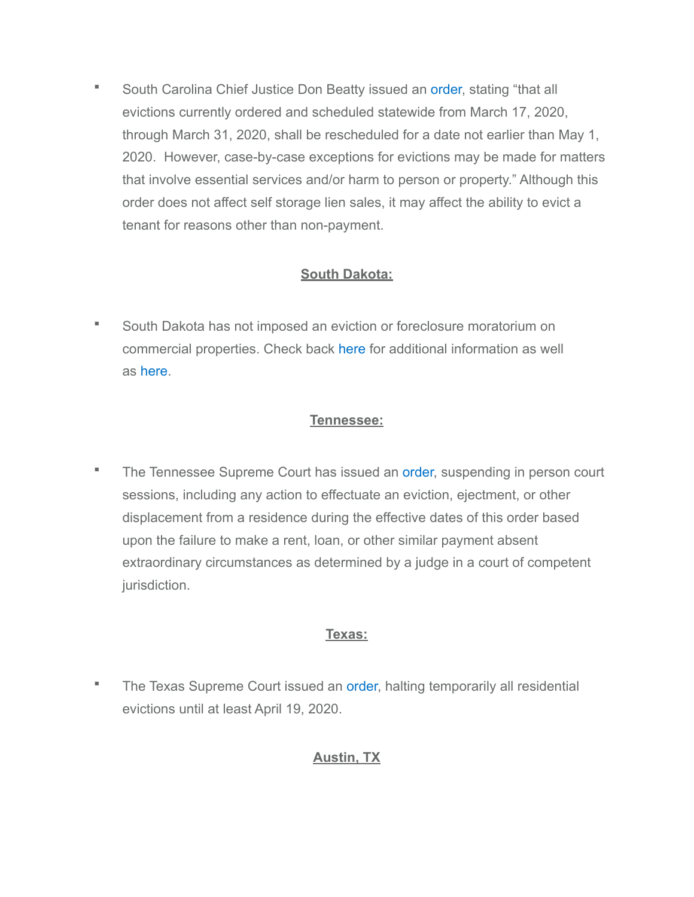■ South Carolina Chief Justice Don Beatty issued an [order,](https://www.sccourts.org/courtOrders/displayOrder.cfm?orderNo=2020-03-17-02) stating "that all evictions currently ordered and scheduled statewide from March 17, 2020, through March 31, 2020, shall be rescheduled for a date not earlier than May 1, 2020. However, case-by-case exceptions for evictions may be made for matters that involve essential services and/or harm to person or property." Although this order does not affect self storage lien sales, it may affect the ability to evict a tenant for reasons other than non-payment.

### **South Dakota:**

■ South Dakota has not imposed an eviction or foreclosure moratorium on commercial properties. Check back [here](https://ujs.sd.gov/) for additional information as well as [here](https://sdsos.gov/general-information/executive-actions/executive-orders/search/Default.aspx).

### **Tennessee:**

**The Tennessee Supreme Court has issued an [order,](https://www.tncourts.gov/sites/default/files/docs/order_-_2020-03-25t120936.486.pdf) suspending in person court** sessions, including any action to effectuate an eviction, ejectment, or other displacement from a residence during the effective dates of this order based upon the failure to make a rent, loan, or other similar payment absent extraordinary circumstances as determined by a judge in a court of competent jurisdiction.

# **Texas:**

**The Texas Supreme Court issued an [order,](https://www.txcourts.gov/media/1446203/209045.pdf) halting temporarily all residential** evictions until at least April 19, 2020.

### **Austin, TX**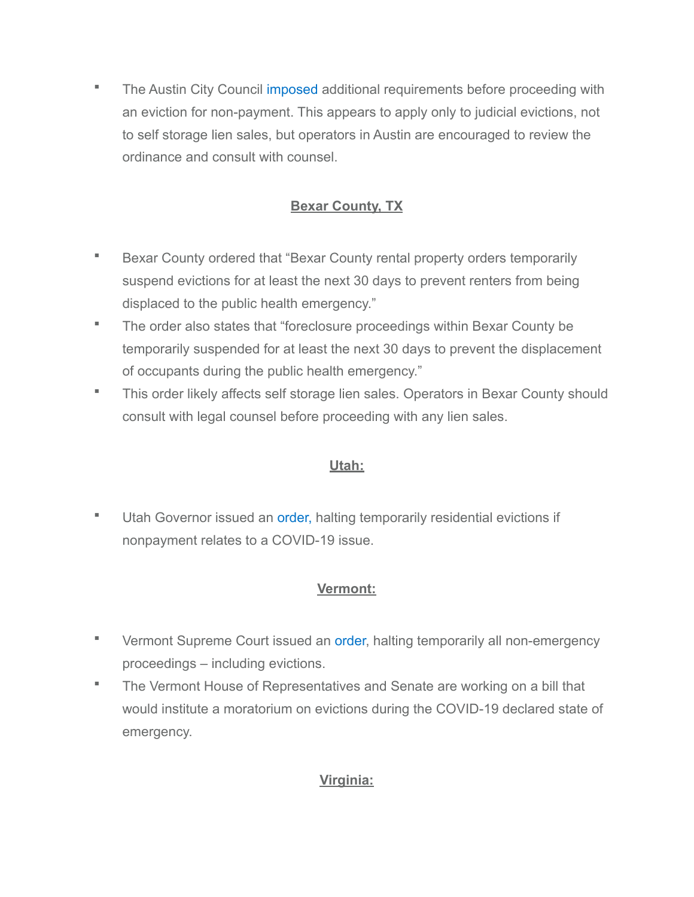**• The Austin City Council [imposed](https://www.austintexas.gov/edims/document.cfm?id=338086) additional requirements before proceeding with** an eviction for non-payment. This appears to apply only to judicial evictions, not to self storage lien sales, but operators in Austin are encouraged to review the ordinance and consult with counsel.

# **Bexar County, TX**

- **E** Bexar County ordered that "Bexar County rental property orders temporarily suspend evictions for at least the next 30 days to prevent renters from being displaced to the public health emergency."
- The order also states that "foreclosure proceedings within Bexar County be temporarily suspended for at least the next 30 days to prevent the displacement of occupants during the public health emergency."
- This order likely affects self storage lien sales. Operators in Bexar County should consult with legal counsel before proceeding with any lien sales.

# **Utah:**

**■** Utah Governor issued an [order,](https://drive.google.com/file/d/1DIvfcaMeSeUhfNmzr-3Cwo3DyZQZIO2l/view) halting temporarily residential evictions if nonpayment relates to a COVID-19 issue.

### **Vermont:**

- **E** Vermont Supreme Court issued an [order,](https://www.vermontjudiciary.org/sites/default/files/documents/AO%2049%20-%20Declaration%20of%20Judicial%20Emergency%20and%20Changes%20to%20Court%20Procedures%20with%20amendments%20through%203-25-20.pdf) halting temporarily all non-emergency proceedings – including evictions.
- The Vermont House of Representatives and Senate are working on a bill that would institute a moratorium on evictions during the COVID-19 declared state of emergency.

# **Virginia:**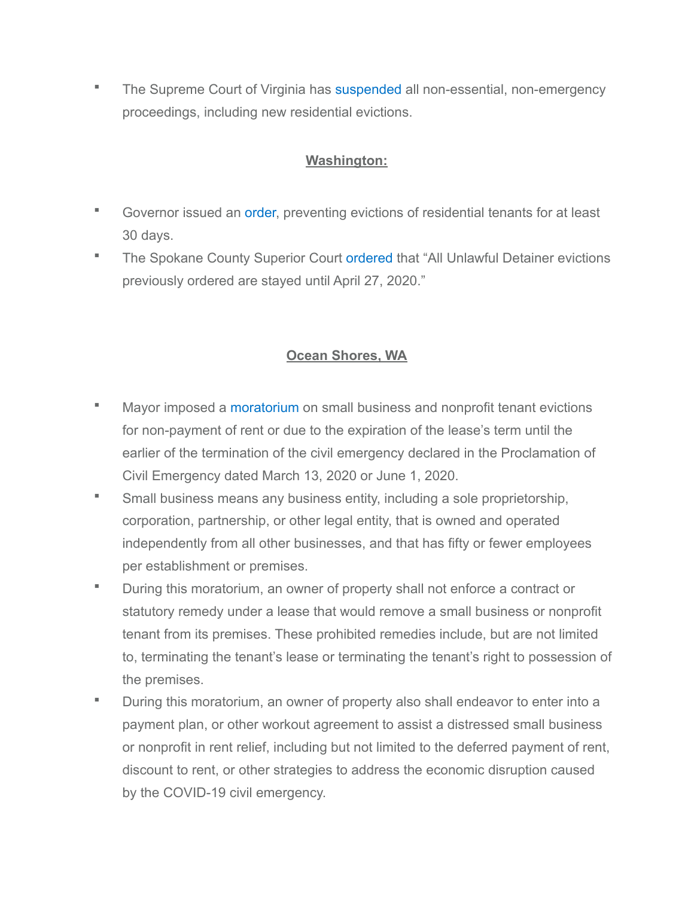**The Supreme Court of Virginia has [suspended](http://www.courts.state.va.us/news/items/covid/2020_0317_supreme_court_of_virginia.pdf) all non-essential, non-emergency** proceedings, including new residential evictions.

#### **Washington:**

- Governor issued an [order,](https://www.governor.wa.gov/sites/default/files/proclamations/20-19%20-%20COVID-19%20Moratorium%20on%20Evictions%20%28tmp%29.pdf) preventing evictions of residential tenants for at least 30 days.
- **The Spokane County Superior Court [ordered](https://www.spokanecounty.org/DocumentCenter/View/30498/Emergency-Order-Re-COVID-2) that "All Unlawful Detainer evictions** previously ordered are stayed until April 27, 2020."

### **Ocean Shores, WA**

- Mayor imposed a [moratorium](https://oceanshores.civicweb.net/filepro/documents/57343) on small business and nonprofit tenant evictions for non-payment of rent or due to the expiration of the lease's term until the earlier of the termination of the civil emergency declared in the Proclamation of Civil Emergency dated March 13, 2020 or June 1, 2020.
- **Small business means any business entity, including a sole proprietorship,** corporation, partnership, or other legal entity, that is owned and operated independently from all other businesses, and that has fifty or fewer employees per establishment or premises.
- During this moratorium, an owner of property shall not enforce a contract or statutory remedy under a lease that would remove a small business or nonprofit tenant from its premises. These prohibited remedies include, but are not limited to, terminating the tenant's lease or terminating the tenant's right to possession of the premises.
- During this moratorium, an owner of property also shall endeavor to enter into a payment plan, or other workout agreement to assist a distressed small business or nonprofit in rent relief, including but not limited to the deferred payment of rent, discount to rent, or other strategies to address the economic disruption caused by the COVID-19 civil emergency.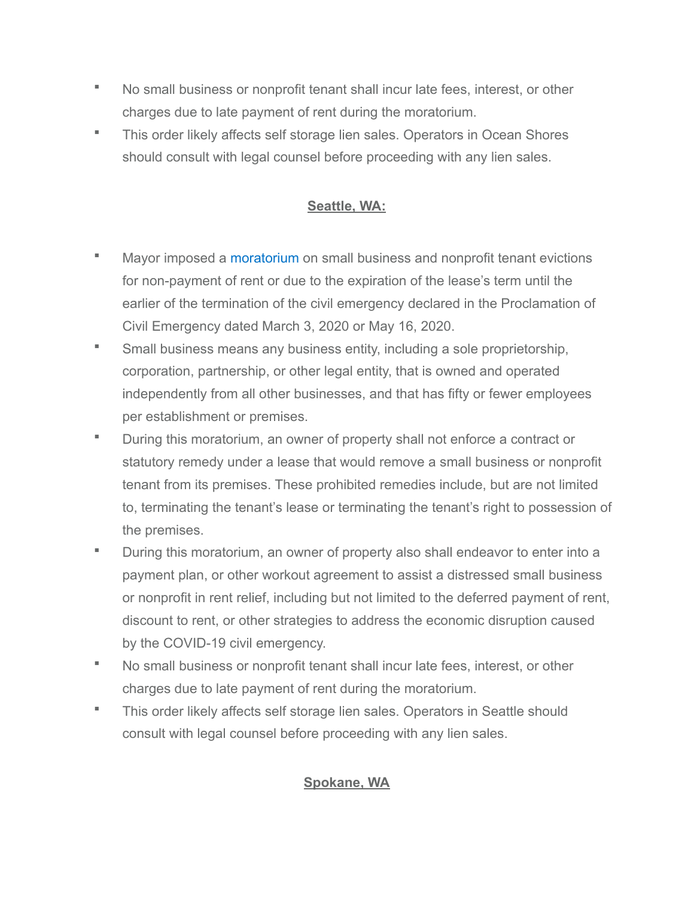- No small business or nonprofit tenant shall incur late fees, interest, or other charges due to late payment of rent during the moratorium.
- This order likely affects self storage lien sales. Operators in Ocean Shores should consult with legal counsel before proceeding with any lien sales.

### **Seattle, WA:**

- Mayor imposed a [moratorium](https://durkan.seattle.gov/wp-content/uploads/sites/9/2020/03/Civil-Emergency-Order-Moratorium-on-Small-Business-Tenant-Evictions-3.17.20.pdf) on small business and nonprofit tenant evictions for non-payment of rent or due to the expiration of the lease's term until the earlier of the termination of the civil emergency declared in the Proclamation of Civil Emergency dated March 3, 2020 or May 16, 2020.
- **Small business means any business entity, including a sole proprietorship,** corporation, partnership, or other legal entity, that is owned and operated independently from all other businesses, and that has fifty or fewer employees per establishment or premises.
- During this moratorium, an owner of property shall not enforce a contract or statutory remedy under a lease that would remove a small business or nonprofit tenant from its premises. These prohibited remedies include, but are not limited to, terminating the tenant's lease or terminating the tenant's right to possession of the premises.
- **During this moratorium, an owner of property also shall endeavor to enter into a** payment plan, or other workout agreement to assist a distressed small business or nonprofit in rent relief, including but not limited to the deferred payment of rent, discount to rent, or other strategies to address the economic disruption caused by the COVID-19 civil emergency.
- No small business or nonprofit tenant shall incur late fees, interest, or other charges due to late payment of rent during the moratorium.
- This order likely affects self storage lien sales. Operators in Seattle should consult with legal counsel before proceeding with any lien sales.

### **Spokane, WA**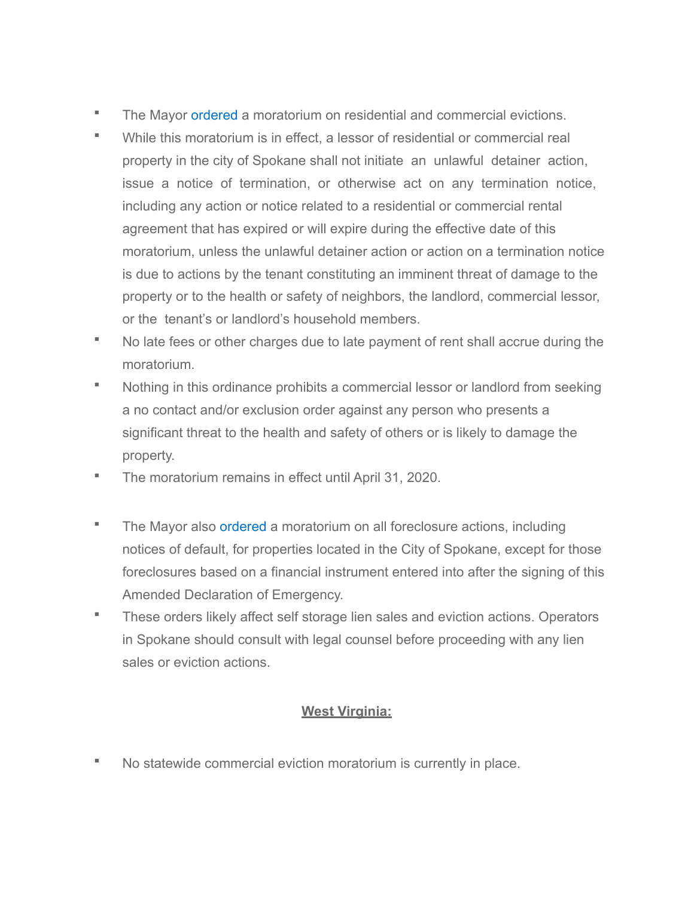- **The Mayor [ordered](https://static.spokanecity.org/documents/officialgazettes/2020/03/official-gazette-2020-03-25.pdf) a moratorium on residential and commercial evictions.**
- While this moratorium is in effect, a lessor of residential or commercial real property in the city of Spokane shall not initiate an unlawful detainer action, issue a notice of termination, or otherwise act on any termination notice, including any action or notice related to a residential or commercial rental agreement that has expired or will expire during the effective date of this moratorium, unless the unlawful detainer action or action on a termination notice is due to actions by the tenant constituting an imminent threat of damage to the property or to the health or safety of neighbors, the landlord, commercial lessor, or the tenant's or landlord's household members.
- No late fees or other charges due to late payment of rent shall accrue during the moratorium.
- Nothing in this ordinance prohibits a commercial lessor or landlord from seeking a no contact and/or exclusion order against any person who presents a significant threat to the health and safety of others or is likely to damage the property.
- The moratorium remains in effect until April 31, 2020.
- **The Mayor also [ordered](https://static.spokanecity.org/documents/officialgazettes/2020/03/official-gazette-2020-03-25.pdf) a moratorium on all foreclosure actions, including** notices of default, for properties located in the City of Spokane, except for those foreclosures based on a financial instrument entered into after the signing of this Amended Declaration of Emergency.
- These orders likely affect self storage lien sales and eviction actions. Operators in Spokane should consult with legal counsel before proceeding with any lien sales or eviction actions.

### **West Virginia:**

No statewide commercial eviction moratorium is currently in place.